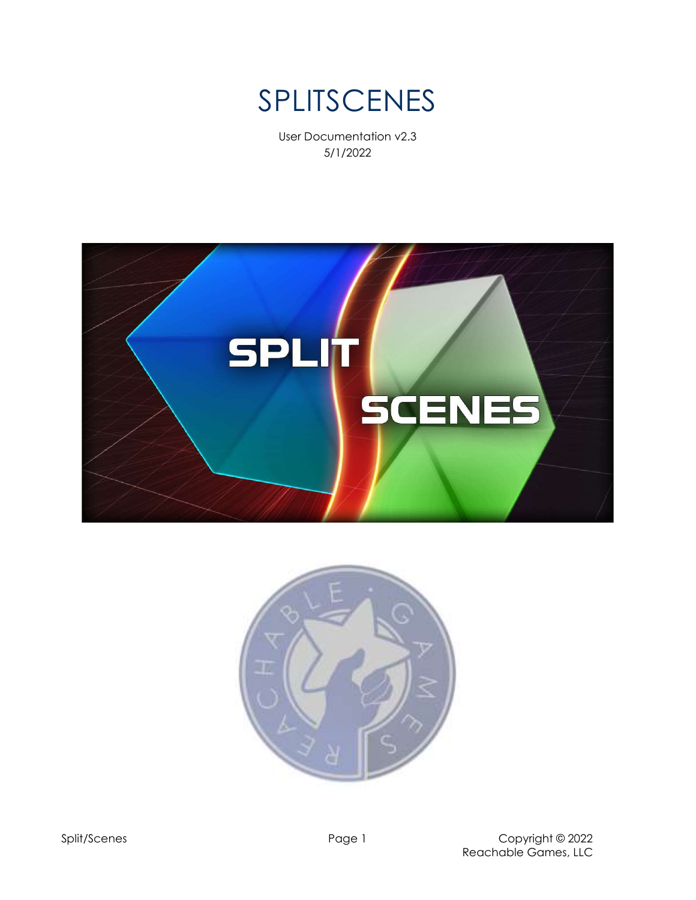

User Documentation v2.3 5/1/2022



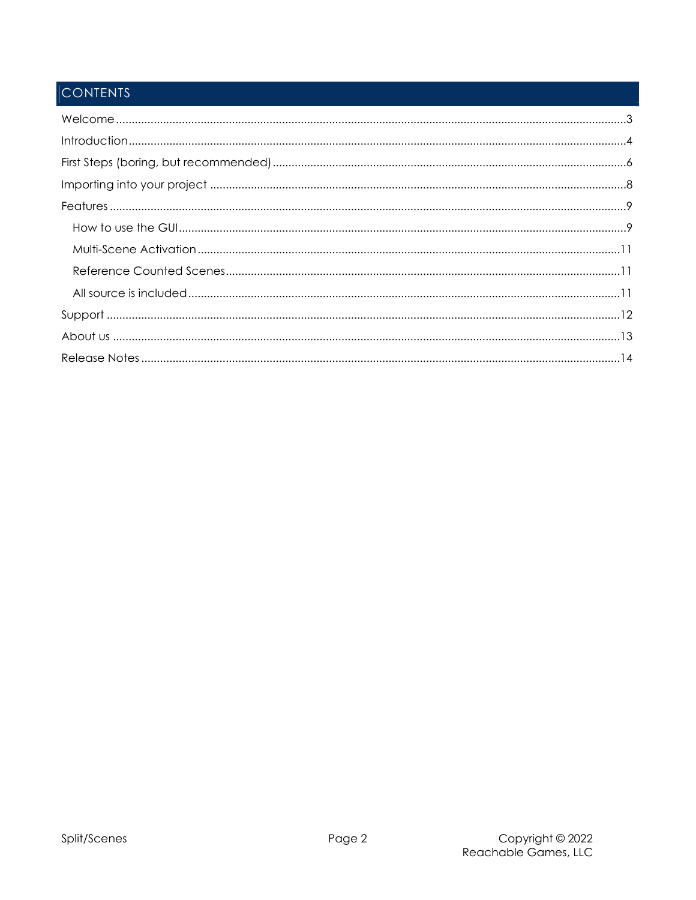# **CONTENTS**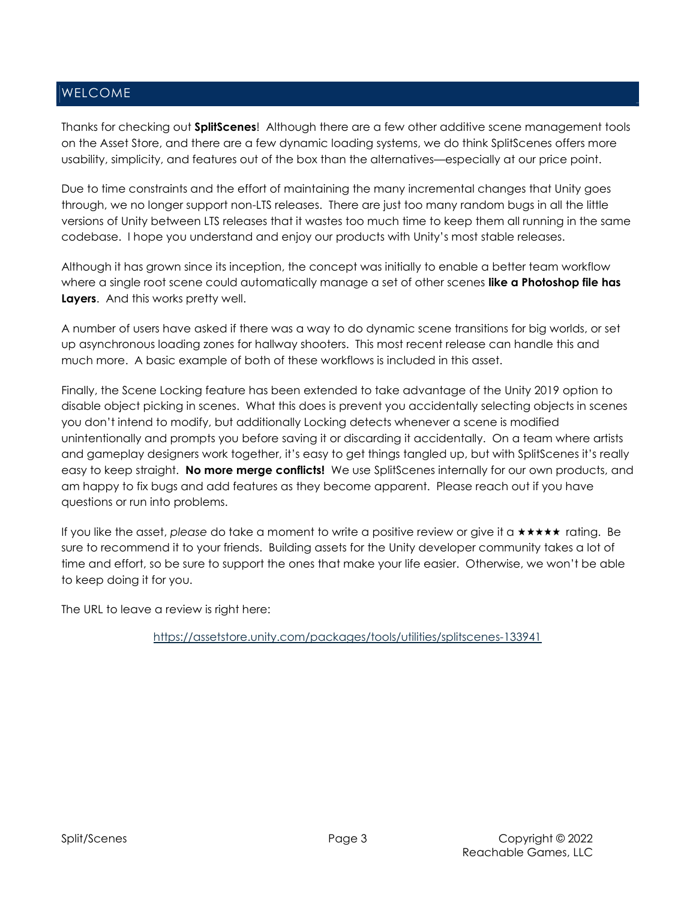## WELCOME

Thanks for checking out **SplitScenes!** Although there are a few other additive scene management tools on the Asset Store, and there are a few dynamic loading systems, we do think SplitScenes offers more usability, simplicity, and features out of the box than the alternatives—especially at our price point.

Due to time constraints and the effort of maintaining the many incremental changes that Unity goes through, we no longer support non-LTS releases. There are just too many random bugs in all the little versions of Unity between LTS releases that it wastes too much time to keep them all running in the same codebase. I hope you understand and enjoy our products with Unity's most stable releases.

Although it has grown since its inception, the concept was initially to enable a better team workflow where a single root scene could automatically manage a set of other scenes like a Photoshop file has Layers. And this works pretty well.

A number of users have asked if there was a way to do dynamic scene transitions for big worlds, or set up asynchronous loading zones for hallway shooters. This most recent release can handle this and much more. A basic example of both of these workflows is included in this asset.

Finally, the Scene Locking feature has been extended to take advantage of the Unity 2019 option to disable object picking in scenes. What this does is prevent you accidentally selecting objects in scenes you don't intend to modify, but additionally Locking detects whenever a scene is modified unintentionally and prompts you before saving it or discarding it accidentally. On a team where artists and gameplay designers work together, it's easy to get things tangled up, but with SplitScenes it's really easy to keep straight. No more merge conflicts! We use SplitScenes internally for our own products, and am happy to fix bugs and add features as they become apparent. Please reach out if you have questions or run into problems.

If you like the asset, please do take a moment to write a positive review or give it a  $\star \star \star \star \star$  rating. Be sure to recommend it to your friends. Building assets for the Unity developer community takes a lot of time and effort, so be sure to support the ones that make your life easier. Otherwise, we won't be able to keep doing it for you.

The URL to leave a review is right here:

https://assetstore.unity.com/packages/tools/utilities/splitscenes-133941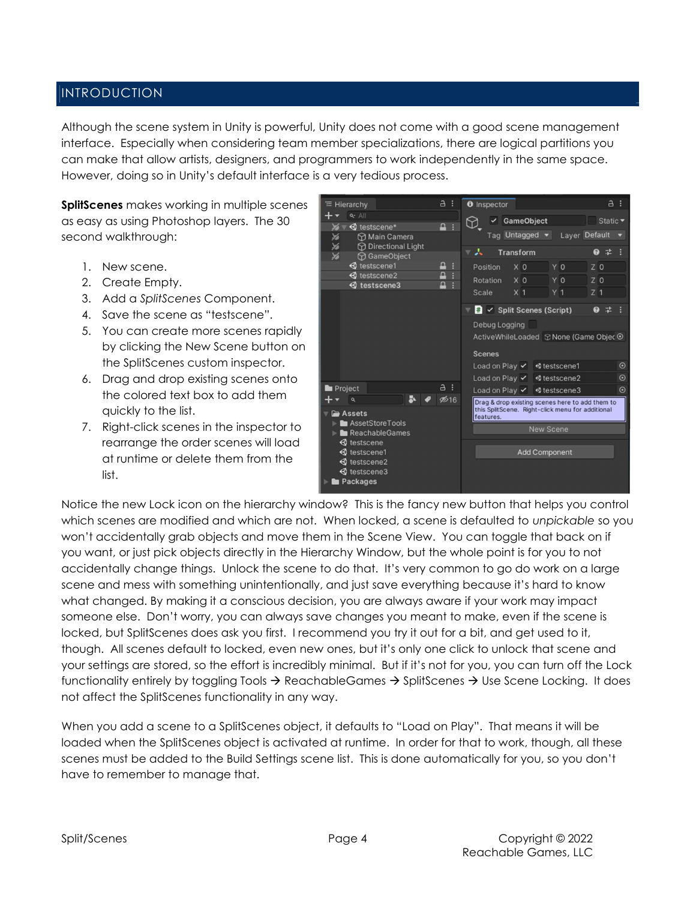## INTRODUCTION

Although the scene system in Unity is powerful, Unity does not come with a good scene management interface. Especially when considering team member specializations, there are logical partitions you can make that allow artists, designers, and programmers to work independently in the same space. However, doing so in Unity's default interface is a very tedious process.

SplitScenes makes working in multiple scenes as easy as using Photoshop layers. The 30 second walkthrough:

- 1. New scene.
- 2. Create Empty.
- 3. Add a SplitScenes Component.
- 4. Save the scene as "testscene".
- 5. You can create more scenes rapidly by clicking the New Scene button on the SplitScenes custom inspector.
- 6. Drag and drop existing scenes onto the colored text box to add them quickly to the list.
- 7. Right-click scenes in the inspector to rearrange the order scenes will load at runtime or delete them from the list.



Notice the new Lock icon on the hierarchy window? This is the fancy new button that helps you control which scenes are modified and which are not. When locked, a scene is defaulted to unpickable so you won't accidentally grab objects and move them in the Scene View. You can toggle that back on if you want, or just pick objects directly in the Hierarchy Window, but the whole point is for you to not accidentally change things. Unlock the scene to do that. It's very common to go do work on a large scene and mess with something unintentionally, and just save everything because it's hard to know what changed. By making it a conscious decision, you are always aware if your work may impact someone else. Don't worry, you can always save changes you meant to make, even if the scene is locked, but SplitScenes does ask you first. I recommend you try it out for a bit, and get used to it, though. All scenes default to locked, even new ones, but it's only one click to unlock that scene and your settings are stored, so the effort is incredibly minimal. But if it's not for you, you can turn off the Lock functionality entirely by toggling Tools  $\rightarrow$  ReachableGames  $\rightarrow$  SplitScenes  $\rightarrow$  Use Scene Locking. It does not affect the SplitScenes functionality in any way.

When you add a scene to a SplitScenes object, it defaults to "Load on Play". That means it will be loaded when the SplitScenes object is activated at runtime. In order for that to work, though, all these scenes must be added to the Build Settings scene list. This is done automatically for you, so you don't have to remember to manage that.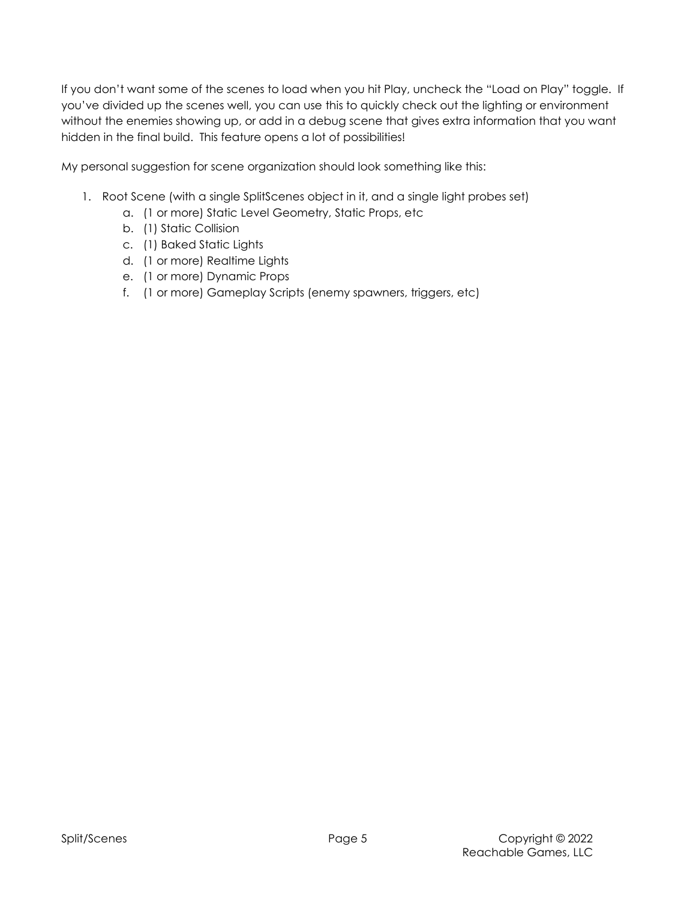If you don't want some of the scenes to load when you hit Play, uncheck the "Load on Play" toggle. If you've divided up the scenes well, you can use this to quickly check out the lighting or environment without the enemies showing up, or add in a debug scene that gives extra information that you want hidden in the final build. This feature opens a lot of possibilities!

My personal suggestion for scene organization should look something like this:

- 1. Root Scene (with a single SplitScenes object in it, and a single light probes set)
	- a. (1 or more) Static Level Geometry, Static Props, etc
	- b. (1) Static Collision
	- c. (1) Baked Static Lights
	- d. (1 or more) Realtime Lights
	- e. (1 or more) Dynamic Props
	- f. (1 or more) Gameplay Scripts (enemy spawners, triggers, etc)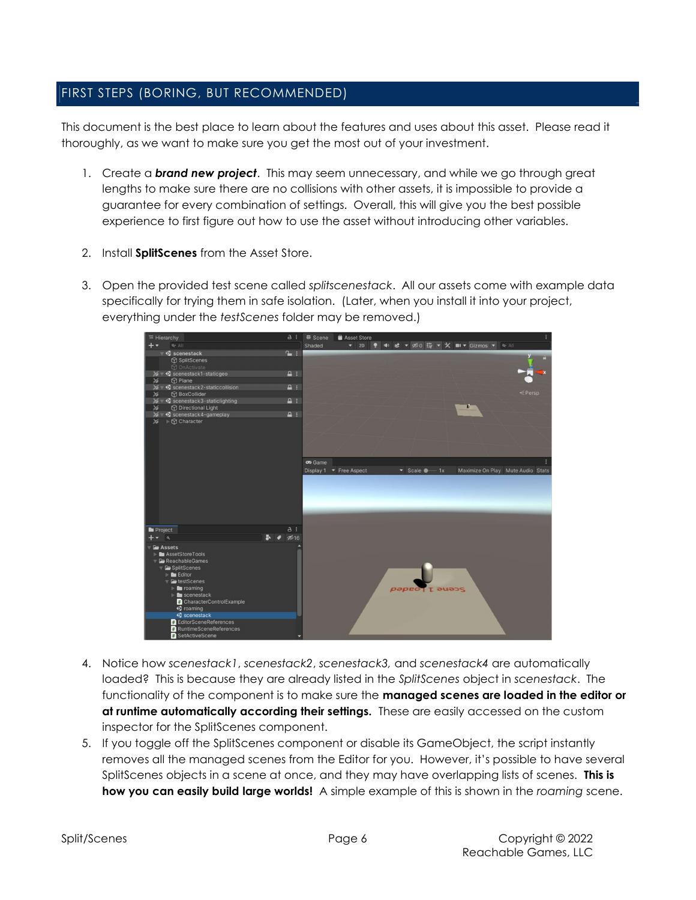## FIRST STEPS (BORING, BUT RECOMMENDED)

This document is the best place to learn about the features and uses about this asset. Please read it thoroughly, as we want to make sure you get the most out of your investment.

- 1. Create a **brand new project**. This may seem unnecessary, and while we go through great lengths to make sure there are no collisions with other assets, it is impossible to provide a guarantee for every combination of settings. Overall, this will give you the best possible experience to first figure out how to use the asset without introducing other variables.
- 2. Install SplitScenes from the Asset Store.
- 3. Open the provided test scene called splitscenestack. All our assets come with example data specifically for trying them in safe isolation. (Later, when you install it into your project, everything under the testScenes folder may be removed.)



- 4. Notice how scenestack1, scenestack2, scenestack3, and scenestack4 are automatically loaded? This is because they are already listed in the SplitScenes object in scenestack. The functionality of the component is to make sure the **managed scenes are loaded in the editor or** at runtime automatically according their settings. These are easily accessed on the custom inspector for the SplitScenes component.
- 5. If you toggle off the SplitScenes component or disable its GameObject, the script instantly removes all the managed scenes from the Editor for you. However, it's possible to have several SplitScenes objects in a scene at once, and they may have overlapping lists of scenes. This is how you can easily build large worlds! A simple example of this is shown in the roaming scene.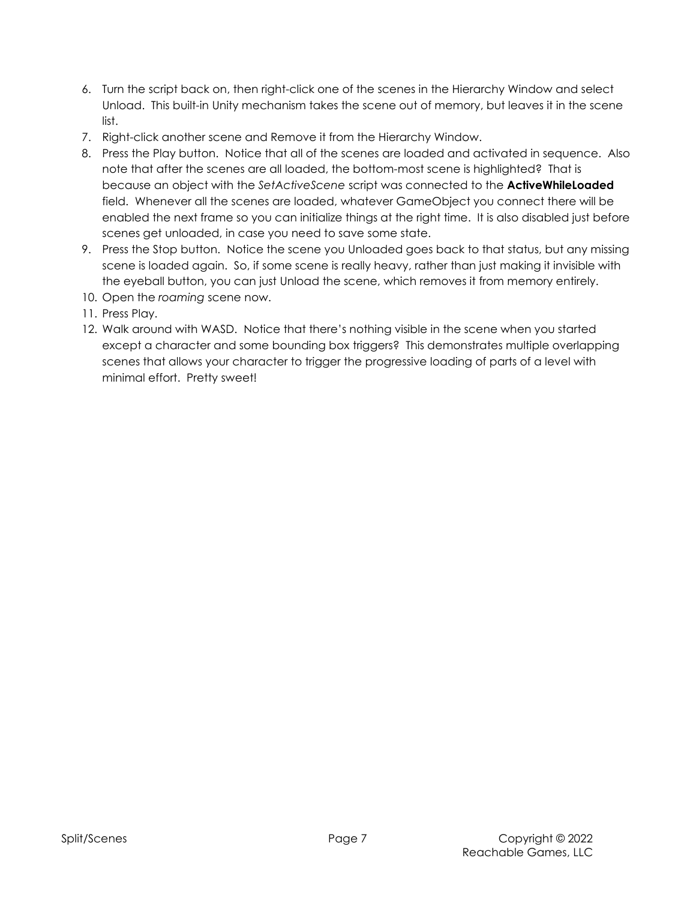- 6. Turn the script back on, then right-click one of the scenes in the Hierarchy Window and select Unload. This built-in Unity mechanism takes the scene out of memory, but leaves it in the scene list.
- 7. Right-click another scene and Remove it from the Hierarchy Window.
- 8. Press the Play button. Notice that all of the scenes are loaded and activated in sequence. Also note that after the scenes are all loaded, the bottom-most scene is highlighted? That is because an object with the SetActiveScene script was connected to the **ActiveWhileLoaded** field. Whenever all the scenes are loaded, whatever GameObject you connect there will be enabled the next frame so you can initialize things at the right time. It is also disabled just before scenes get unloaded, in case you need to save some state.
- 9. Press the Stop button. Notice the scene you Unloaded goes back to that status, but any missing scene is loaded again. So, if some scene is really heavy, rather than just making it invisible with the eyeball button, you can just Unload the scene, which removes it from memory entirely.
- 10. Open the roaming scene now.
- 11. Press Play.
- 12. Walk around with WASD. Notice that there's nothing visible in the scene when you started except a character and some bounding box triggers? This demonstrates multiple overlapping scenes that allows your character to trigger the progressive loading of parts of a level with minimal effort. Pretty sweet!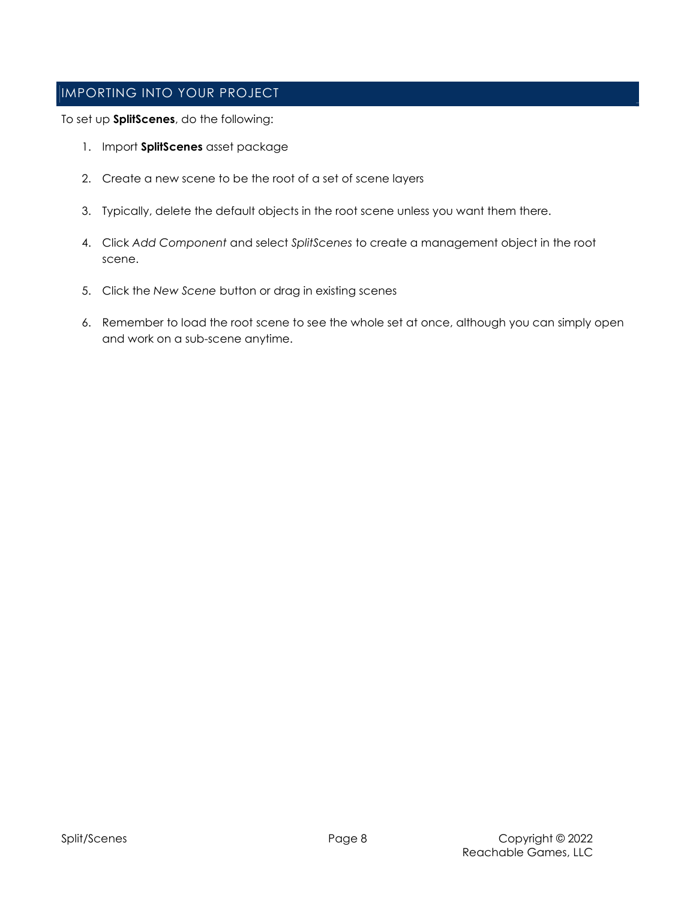## IMPORTING INTO YOUR PROJECT

To set up **SplitScenes**, do the following:

- 1. Import SplitScenes asset package
- 2. Create a new scene to be the root of a set of scene layers
- 3. Typically, delete the default objects in the root scene unless you want them there.
- 4. Click Add Component and select SplitScenes to create a management object in the root scene.
- 5. Click the New Scene button or drag in existing scenes
- 6. Remember to load the root scene to see the whole set at once, although you can simply open and work on a sub-scene anytime.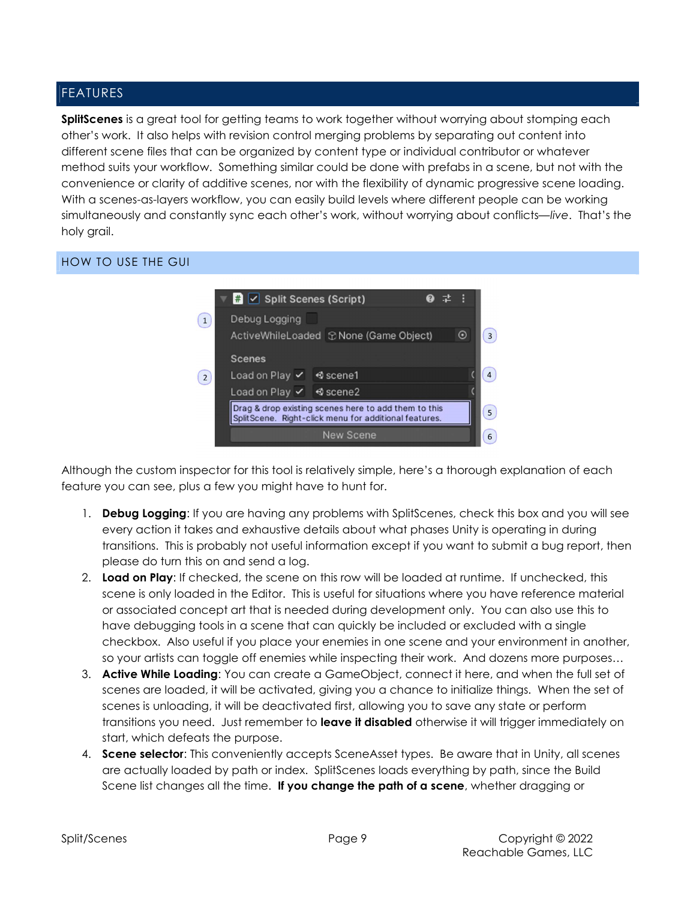## FEATURES

SplitScenes is a great tool for getting teams to work together without worrying about stomping each other's work. It also helps with revision control merging problems by separating out content into different scene files that can be organized by content type or individual contributor or whatever method suits your workflow. Something similar could be done with prefabs in a scene, but not with the convenience or clarity of additive scenes, nor with the flexibility of dynamic progressive scene loading. With a scenes-as-layers workflow, you can easily build levels where different people can be working simultaneously and constantly sync each other's work, without worrying about conflicts—live. That's the holy grail.

### HOW TO USE THE GUI



Although the custom inspector for this tool is relatively simple, here's a thorough explanation of each feature you can see, plus a few you might have to hunt for.

- 1. Debug Logging: If you are having any problems with SplitScenes, check this box and you will see every action it takes and exhaustive details about what phases Unity is operating in during transitions. This is probably not useful information except if you want to submit a bug report, then please do turn this on and send a log.
- 2. Load on Play: If checked, the scene on this row will be loaded at runtime. If unchecked, this scene is only loaded in the Editor. This is useful for situations where you have reference material or associated concept art that is needed during development only. You can also use this to have debugging tools in a scene that can quickly be included or excluded with a single checkbox. Also useful if you place your enemies in one scene and your environment in another, so your artists can toggle off enemies while inspecting their work. And dozens more purposes…
- 3. Active While Loading: You can create a GameObject, connect it here, and when the full set of scenes are loaded, it will be activated, giving you a chance to initialize things. When the set of scenes is unloading, it will be deactivated first, allowing you to save any state or perform transitions you need. Just remember to leave it disabled otherwise it will trigger immediately on start, which defeats the purpose.
- 4. **Scene selector:** This conveniently accepts SceneAsset types. Be aware that in Unity, all scenes are actually loaded by path or index. SplitScenes loads everything by path, since the Build Scene list changes all the time. If you change the path of a scene, whether dragging or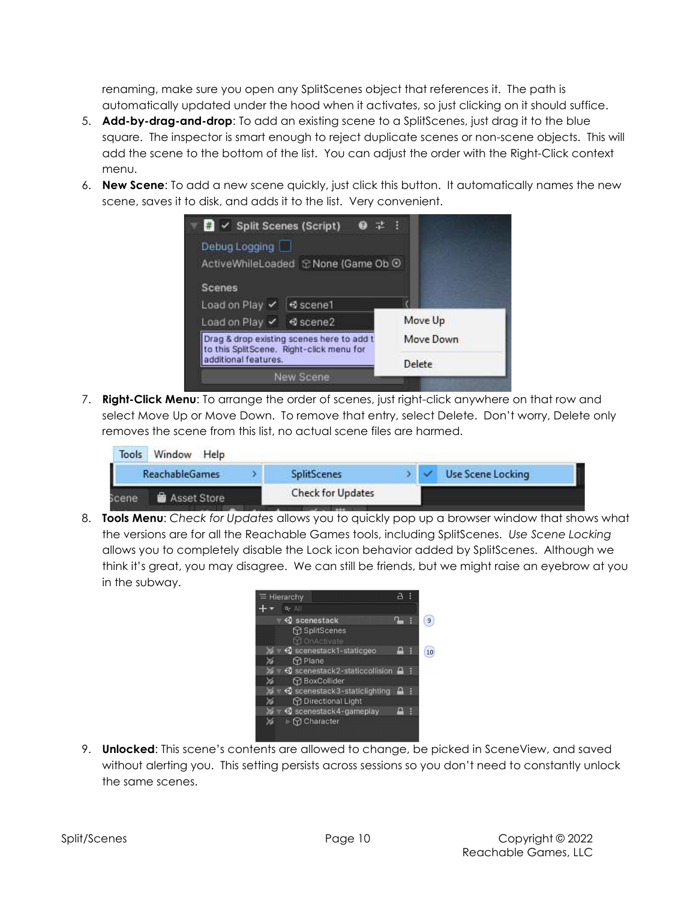renaming, make sure you open any SplitScenes object that references it. The path is automatically updated under the hood when it activates, so just clicking on it should suffice.

- 5. **Add-by-drag-and-drop:** To add an existing scene to a SplitScenes, just drag it to the blue square. The inspector is smart enough to reject duplicate scenes or non-scene objects. This will add the scene to the bottom of the list. You can adjust the order with the Right-Click context menu.
- 6. New Scene: To add a new scene quickly, just click this button. It automatically names the new scene, saves it to disk, and adds it to the list. Very convenient.



7. Right-Click Menu: To arrange the order of scenes, just right-click anywhere on that row and select Move Up or Move Down. To remove that entry, select Delete. Don't worry, Delete only removes the scene from this list, no actual scene files are harmed.

| Tools Window<br>Help        |                          |  |                   |
|-----------------------------|--------------------------|--|-------------------|
| I<br><b>ReachableGames</b>  | <b>SplitScenes</b>       |  | Use Scene Locking |
| <b>Asset Store</b><br>Scene | <b>Check for Updates</b> |  |                   |

8. **Tools Menu:** Check for Updates allows you to quickly pop up a browser window that shows what the versions are for all the Reachable Games tools, including SplitScenes. Use Scene Locking allows you to completely disable the Lock icon behavior added by SplitScenes. Although we think it's great, you may disagree. We can still be friends, but we might raise an eyebrow at you in the subway.



9. **Unlocked**: This scene's contents are allowed to change, be picked in SceneView, and saved without alerting you. This setting persists across sessions so you don't need to constantly unlock the same scenes.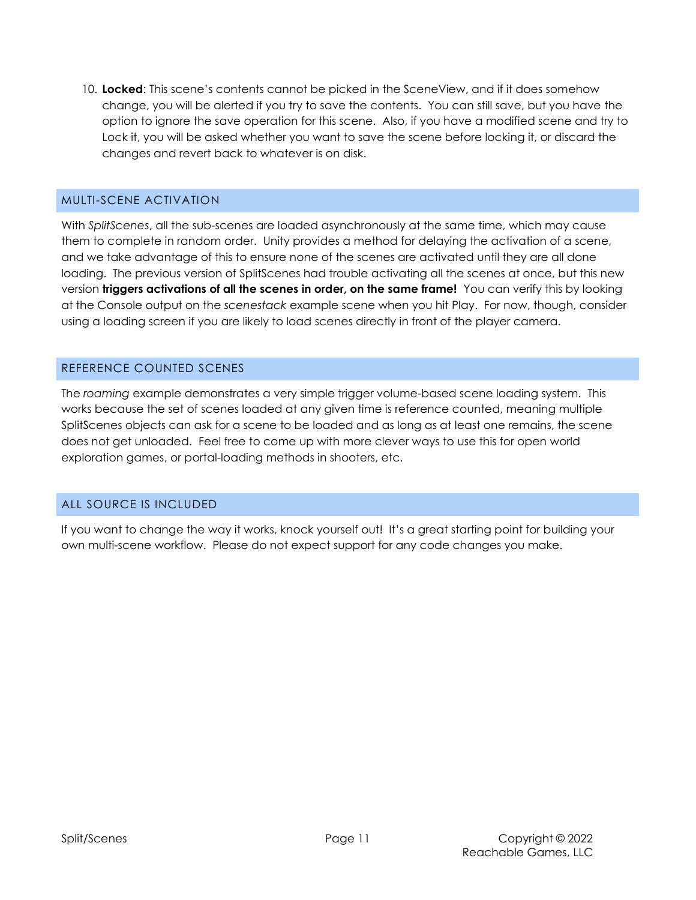10. Locked: This scene's contents cannot be picked in the SceneView, and if it does somehow change, you will be alerted if you try to save the contents. You can still save, but you have the option to ignore the save operation for this scene. Also, if you have a modified scene and try to Lock it, you will be asked whether you want to save the scene before locking it, or discard the changes and revert back to whatever is on disk.

## MULTI-SCENE ACTIVATION

With SplitScenes, all the sub-scenes are loaded asynchronously at the same time, which may cause them to complete in random order. Unity provides a method for delaying the activation of a scene, and we take advantage of this to ensure none of the scenes are activated until they are all done loading. The previous version of SplitScenes had trouble activating all the scenes at once, but this new version triggers activations of all the scenes in order, on the same frame! You can verify this by looking at the Console output on the scenestack example scene when you hit Play. For now, though, consider using a loading screen if you are likely to load scenes directly in front of the player camera.

### REFERENCE COUNTED SCENES

The roaming example demonstrates a very simple trigger volume-based scene loading system. This works because the set of scenes loaded at any given time is reference counted, meaning multiple SplitScenes objects can ask for a scene to be loaded and as long as at least one remains, the scene does not get unloaded. Feel free to come up with more clever ways to use this for open world exploration games, or portal-loading methods in shooters, etc.

## ALL SOURCE IS INCLUDED

If you want to change the way it works, knock yourself out! It's a great starting point for building your own multi-scene workflow. Please do not expect support for any code changes you make.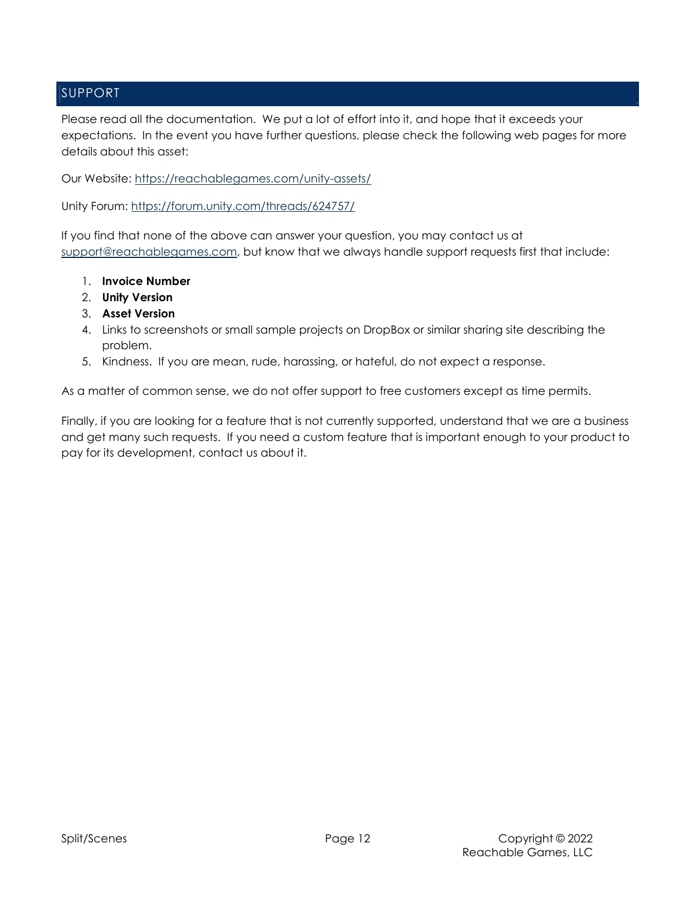## SUPPORT

Please read all the documentation. We put a lot of effort into it, and hope that it exceeds your expectations. In the event you have further questions, please check the following web pages for more details about this asset:

Our Website: https://reachablegames.com/unity-assets/

Unity Forum: https://forum.unity.com/threads/624757/

If you find that none of the above can answer your question, you may contact us at support@reachablegames.com, but know that we always handle support requests first that include:

- 1. Invoice Number
- 2. Unity Version
- 3. Asset Version
- 4. Links to screenshots or small sample projects on DropBox or similar sharing site describing the problem.
- 5. Kindness. If you are mean, rude, harassing, or hateful, do not expect a response.

As a matter of common sense, we do not offer support to free customers except as time permits.

Finally, if you are looking for a feature that is not currently supported, understand that we are a business and get many such requests. If you need a custom feature that is important enough to your product to pay for its development, contact us about it.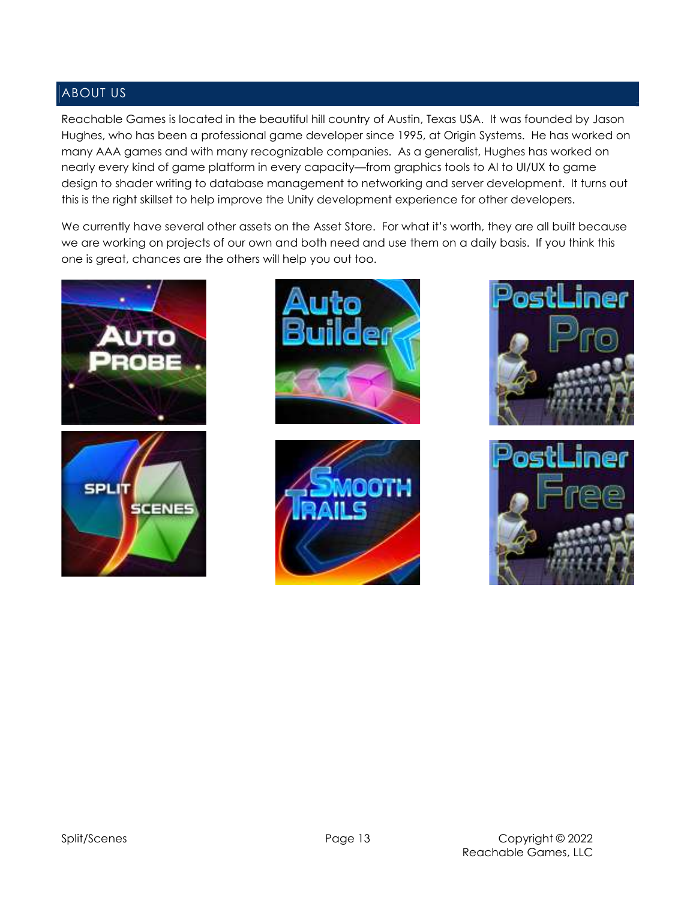## ABOUT US

Reachable Games is located in the beautiful hill country of Austin, Texas USA. It was founded by Jason Hughes, who has been a professional game developer since 1995, at Origin Systems. He has worked on many AAA games and with many recognizable companies. As a generalist, Hughes has worked on nearly every kind of game platform in every capacity—from graphics tools to AI to UI/UX to game design to shader writing to database management to networking and server development. It turns out this is the right skillset to help improve the Unity development experience for other developers.

We currently have several other assets on the Asset Store. For what it's worth, they are all built because we are working on projects of our own and both need and use them on a daily basis. If you think this one is great, chances are the others will help you out too.











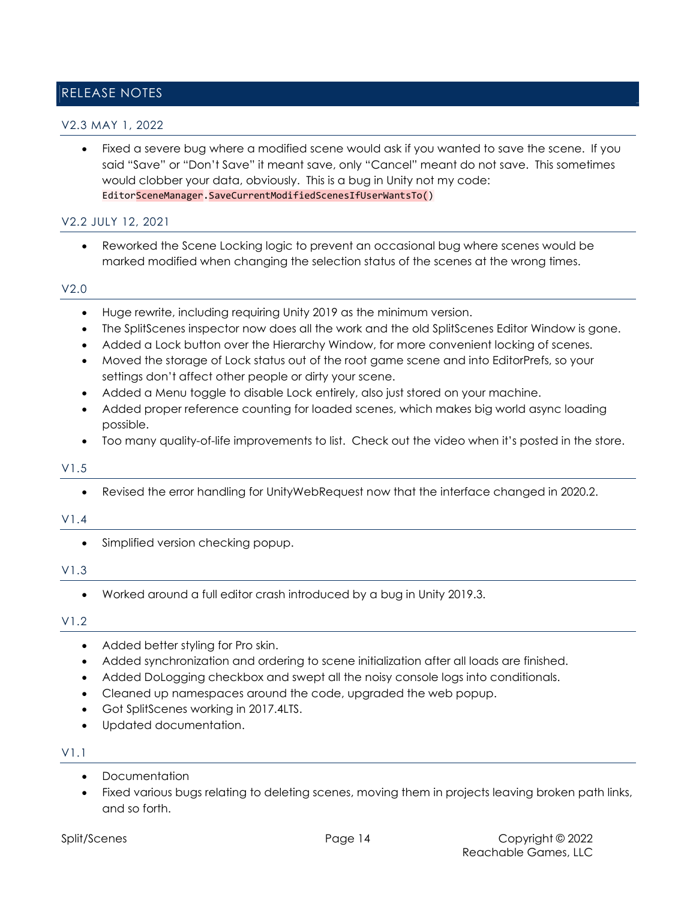## RELEASE NOTES

### V2.3 MAY 1, 2022

 Fixed a severe bug where a modified scene would ask if you wanted to save the scene. If you said "Save" or "Don't Save" it meant save, only "Cancel" meant do not save. This sometimes would clobber your data, obviously. This is a bug in Unity not my code: EditorSceneManager.SaveCurrentModifiedScenesIfUserWantsTo()

### V2.2 JULY 12, 2021

 Reworked the Scene Locking logic to prevent an occasional bug where scenes would be marked modified when changing the selection status of the scenes at the wrong times.

#### V2.0

- Huge rewrite, including requiring Unity 2019 as the minimum version.
- The SplitScenes inspector now does all the work and the old SplitScenes Editor Window is gone.
- Added a Lock button over the Hierarchy Window, for more convenient locking of scenes.
- Moved the storage of Lock status out of the root game scene and into EditorPrefs, so your settings don't affect other people or dirty your scene.
- Added a Menu toggle to disable Lock entirely, also just stored on your machine.
- Added proper reference counting for loaded scenes, which makes big world async loading possible.
- Too many quality-of-life improvements to list. Check out the video when it's posted in the store.

### V1.5

Revised the error handling for UnityWebRequest now that the interface changed in 2020.2.

### V1.4

Simplified version checking popup.

#### V1.3

Worked around a full editor crash introduced by a bug in Unity 2019.3.

#### V1.2

- Added better styling for Pro skin.
- Added synchronization and ordering to scene initialization after all loads are finished.
- Added DoLogging checkbox and swept all the noisy console logs into conditionals.
- Cleaned up namespaces around the code, upgraded the web popup.
- Got SplitScenes working in 2017.4LTS.
- Updated documentation.

### V1.1

- Documentation
- Fixed various bugs relating to deleting scenes, moving them in projects leaving broken path links, and so forth.